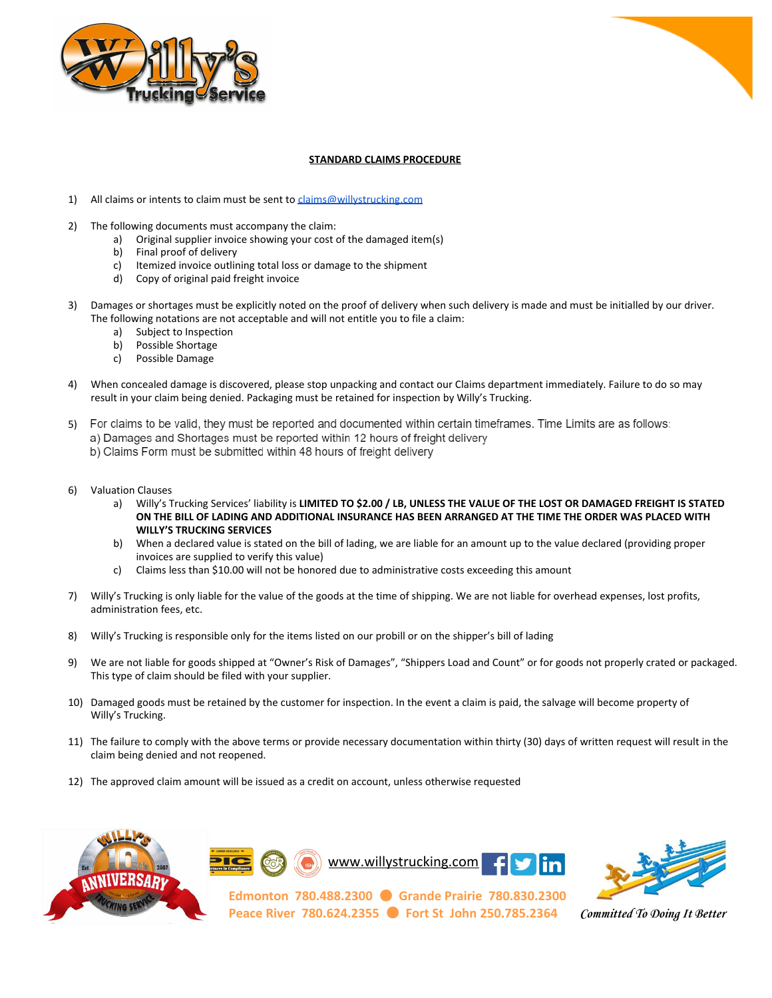



## **STANDARD CLAIMS PROCEDURE**

- 1) All claims or intents to claim must be sent to [claims@willystrucking.com](mailto:claims@willystrucking.com)
- 2) The following documents must accompany the claim:
	- a) Original supplier invoice showing your cost of the damaged item(s)
	- b) Final proof of delivery
	- c) Itemized invoice outlining total loss or damage to the shipment
	- d) Copy of original paid freight invoice
- 3) Damages or shortages must be explicitly noted on the proof of delivery when such delivery is made and must be initialled by our driver. The following notations are not acceptable and will not entitle you to file a claim:
	- a) Subject to Inspection
	- b) Possible Shortage
	- c) Possible Damage
- 4) When concealed damage is discovered, please stop unpacking and contact our Claims department immediately. Failure to do so may result in your claim being denied. Packaging must be retained for inspection by Willy's Trucking.
- 5) For claims to be valid, they must be reported and documented within certain timeframes. Time Limits are as follows: a) Damages and Shortages must be reported within 12 hours of freight delivery b) Claims Form must be submitted within 48 hours of freight delivery
- 6) Valuation Clauses
	- a) Willy's Trucking Services' liability is **LIMITED TO \$2.00 / LB, UNLESS THE VALUE OF THE LOST OR DAMAGED FREIGHT IS STATED ON THE BILL OF LADING AND ADDITIONAL INSURANCE HAS BEEN ARRANGED AT THE TIME THE ORDER WAS PLACED WITH WILLY'S TRUCKING SERVICES**
	- b) When a declared value is stated on the bill of lading, we are liable for an amount up to the value declared (providing proper invoices are supplied to verify this value)
	- c) Claims less than \$10.00 will not be honored due to administrative costs exceeding this amount
- 7) Willy's Trucking is only liable for the value of the goods at the time of shipping. We are not liable for overhead expenses, lost profits, administration fees, etc.
- 8) Willy's Trucking is responsible only for the items listed on our probill or on the shipper's bill of lading
- 9) We are not liable for goods shipped at "Owner's Risk of Damages", "Shippers Load and Count" or for goods not properly crated or packaged. This type of claim should be filed with your supplier.
- 10) Damaged goods must be retained by the customer for inspection. In the event a claim is paid, the salvage will become property of Willy's Trucking.
- 11) The failure to comply with the above terms or provide necessary documentation within thirty (30) days of written request will result in the claim being denied and not reopened.
- 12) The approved claim amount will be issued as a credit on account, unless otherwise requested







**Edmonton 780.488.2300** ● **Grande Prairie 780.830.2300 Peace River 780.624.2355** ● **Fort St John 250.785.2364** *Committed To Doing It Better*